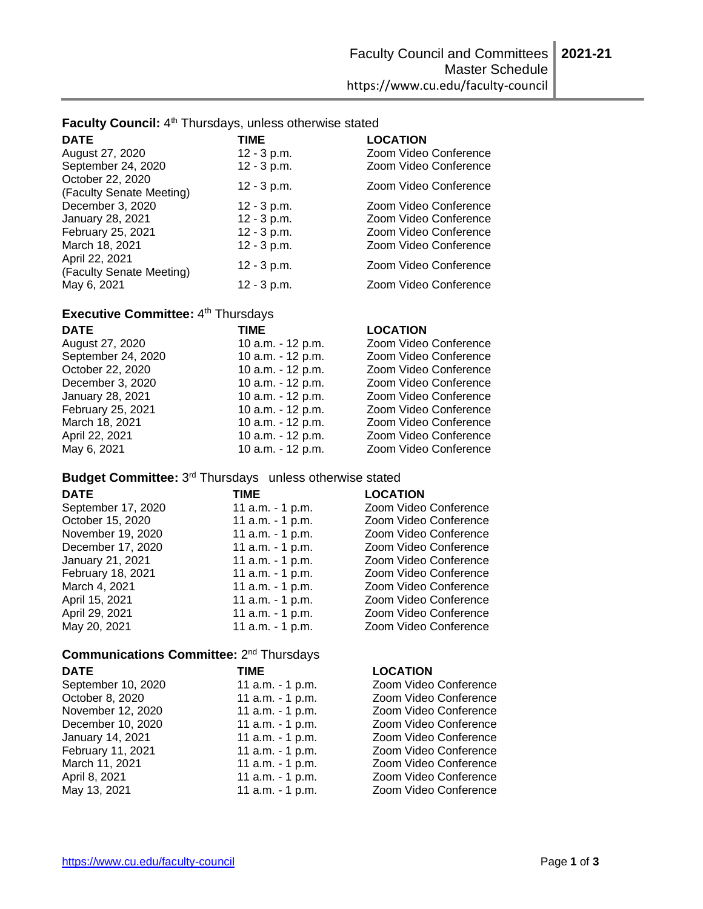Faculty Council: 4<sup>th</sup> Thursdays, unless otherwise stated

| <b>DATE</b>                                  | <b>TIME</b>   | <b>LOCATION</b>       |
|----------------------------------------------|---------------|-----------------------|
| August 27, 2020                              | $12 - 3 p.m.$ | Zoom Video Conference |
| September 24, 2020                           | $12 - 3 p.m.$ | Zoom Video Conference |
| October 22, 2020<br>(Faculty Senate Meeting) | $12 - 3 p.m.$ | Zoom Video Conference |
| December 3, 2020                             | $12 - 3 p.m.$ | Zoom Video Conference |
| January 28, 2021                             | $12 - 3 p.m.$ | Zoom Video Conference |
| February 25, 2021                            | $12 - 3 p.m.$ | Zoom Video Conference |
| March 18, 2021<br>April 22, 2021             | $12 - 3 p.m.$ | Zoom Video Conference |
| (Faculty Senate Meeting)                     | $12 - 3 p.m.$ | Zoom Video Conference |
| May 6, 2021                                  | $12 - 3$ p.m. | Zoom Video Conference |

# Executive Committee: 4<sup>th</sup> Thursdays

| <b>DATE</b>        | <b>TIME</b>       | <b>LOCATION</b>       |
|--------------------|-------------------|-----------------------|
| August 27, 2020    | 10 a.m. - 12 p.m. | Zoom Video Conference |
| September 24, 2020 | 10 a.m. - 12 p.m. | Zoom Video Conference |
| October 22, 2020   | 10 a.m. - 12 p.m. | Zoom Video Conference |
| December 3, 2020   | 10 a.m. - 12 p.m. | Zoom Video Conference |
| January 28, 2021   | 10 a.m. - 12 p.m. | Zoom Video Conference |
| February 25, 2021  | 10 a.m. - 12 p.m. | Zoom Video Conference |
| March 18, 2021     | 10 a.m. - 12 p.m. | Zoom Video Conference |
| April 22, 2021     | 10 a.m. - 12 p.m. | Zoom Video Conference |
| May 6, 2021        | 10 a.m. - 12 p.m. | Zoom Video Conference |

Budget Committee: 3<sup>rd</sup> Thursdays unless otherwise stated

| <b>DATE</b>        | TIME             | <b>LOCATION</b>       |
|--------------------|------------------|-----------------------|
| September 17, 2020 | 11 a.m. - 1 p.m. | Zoom Video Conference |
| October 15, 2020   | 11 a.m. - 1 p.m. | Zoom Video Conference |
| November 19, 2020  | 11 a.m. - 1 p.m. | Zoom Video Conference |
| December 17, 2020  | 11 a.m. - 1 p.m. | Zoom Video Conference |
| January 21, 2021   | 11 a.m. - 1 p.m. | Zoom Video Conference |
| February 18, 2021  | 11 a.m. - 1 p.m. | Zoom Video Conference |
| March 4, 2021      | 11 a.m. - 1 p.m. | Zoom Video Conference |
| April 15, 2021     | 11 a.m. - 1 p.m. | Zoom Video Conference |
| April 29, 2021     | 11 a.m. - 1 p.m. | Zoom Video Conference |
| May 20, 2021       | 11 a.m. - 1 p.m. | Zoom Video Conference |

11 a.m.  $-1$  p.m.

# Communications Committee: 2<sup>nd</sup> Thursdays

May 13, 2021 11 a.m. - 1 p.m.

March 11, 2021<br>April 8, 2021

**DATE TIME LOCATION** September 10, 2020 11 a.m. - 1 p.m.<br>October 8, 2020 11 a.m. - 1 p.m. 11 a.m. - 1 p.m. November 12, 2020 11 a.m. - 1 p.m. December 10, 2020 11 a.m. - 1 p.m. January 14, 2021 11 a.m. - 1 p.m.<br>
February 11, 2021 11 a.m. - 1 p.m. February 11, 2021 11 a.m. - 1 p.m.<br>March 11, 2021 11 a.m. - 1 p.m.

| <b>LOCATION</b>       |
|-----------------------|
| Zoom Video Conference |
| Zoom Video Conference |
| Zoom Video Conference |
| Zoom Video Conference |
| Zoom Video Conference |
| Zoom Video Conference |
| Zoom Video Conference |
| Zoom Video Conference |
| Zoom Video Conference |

| ----               | .               |
|--------------------|-----------------|
| September 10, 2020 | 11 <sub>1</sub> |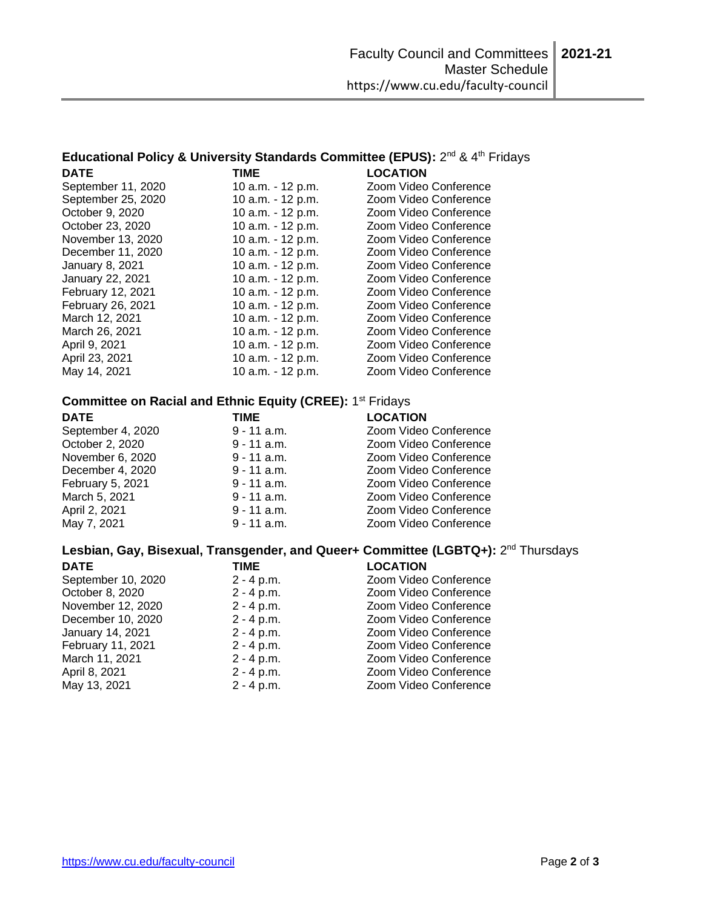# Educational Policy & University Standards Committee (EPUS): 2<sup>nd</sup> & 4<sup>th</sup> Fridays **DATE TIME LOCATION**

| September 11, 2020 | 10 a.m. - 12 p.m. | Zoom Video Conference |
|--------------------|-------------------|-----------------------|
| September 25, 2020 | 10 a.m. - 12 p.m. | Zoom Video Conference |
| October 9, 2020    | 10 a.m. - 12 p.m. | Zoom Video Conference |
| October 23, 2020   | 10 a.m. - 12 p.m. | Zoom Video Conference |
| November 13, 2020  | 10 a.m. - 12 p.m. | Zoom Video Conference |
| December 11, 2020  | 10 a.m. - 12 p.m. | Zoom Video Conference |
| January 8, 2021    | 10 a.m. - 12 p.m. | Zoom Video Conference |
| January 22, 2021   | 10 a.m. - 12 p.m. | Zoom Video Conference |
| February 12, 2021  | 10 a.m. - 12 p.m. | Zoom Video Conference |
| February 26, 2021  | 10 a.m. - 12 p.m. | Zoom Video Conference |
| March 12, 2021     | 10 a.m. - 12 p.m. | Zoom Video Conference |
| March 26, 2021     | 10 a.m. - 12 p.m. | Zoom Video Conference |
| April 9, 2021      | 10 a.m. - 12 p.m. | Zoom Video Conference |
| April 23, 2021     | 10 a.m. - 12 p.m. | Zoom Video Conference |
| May 14, 2021       | 10 a.m. - 12 p.m. | Zoom Video Conference |
|                    |                   |                       |

# **Committee on Racial and Ethnic Equity (CREE): 1<sup>st</sup> Fridays**

| <b>DATE</b>       | <b>TIME</b>   | <b>LOCATION</b>       |
|-------------------|---------------|-----------------------|
| September 4, 2020 | $9 - 11$ a.m. | Zoom Video Conference |
| October 2, 2020   | $9 - 11$ a.m. | Zoom Video Conference |
| November 6, 2020  | $9 - 11$ a.m. | Zoom Video Conference |
| December 4, 2020  | $9 - 11$ a.m. | Zoom Video Conference |
| February 5, 2021  | $9 - 11$ a.m. | Zoom Video Conference |
| March 5, 2021     | $9 - 11$ a.m. | Zoom Video Conference |
| April 2, 2021     | $9 - 11$ a.m. | Zoom Video Conference |
| May 7, 2021       | $9 - 11$ a.m. | Zoom Video Conference |

### **Lesbian, Gay, Bisexual, Transgender, and Queer+ Committee (LGBTQ+):** 2 nd Thursdays

| <b>DATE</b>        | TIME         | <b>LOCATION</b>       |
|--------------------|--------------|-----------------------|
| September 10, 2020 | $2 - 4 p.m.$ | Zoom Video Conference |
| October 8, 2020    | $2 - 4 p.m.$ | Zoom Video Conference |
| November 12, 2020  | $2 - 4 p.m.$ | Zoom Video Conference |
| December 10, 2020  | $2 - 4 p.m.$ | Zoom Video Conference |
| January 14, 2021   | $2 - 4 p.m.$ | Zoom Video Conference |
| February 11, 2021  | $2 - 4 p.m.$ | Zoom Video Conference |
| March 11, 2021     | $2 - 4 p.m.$ | Zoom Video Conference |
| April 8, 2021      | $2 - 4 p.m.$ | Zoom Video Conference |
| May 13, 2021       | $2 - 4 p.m.$ | Zoom Video Conference |